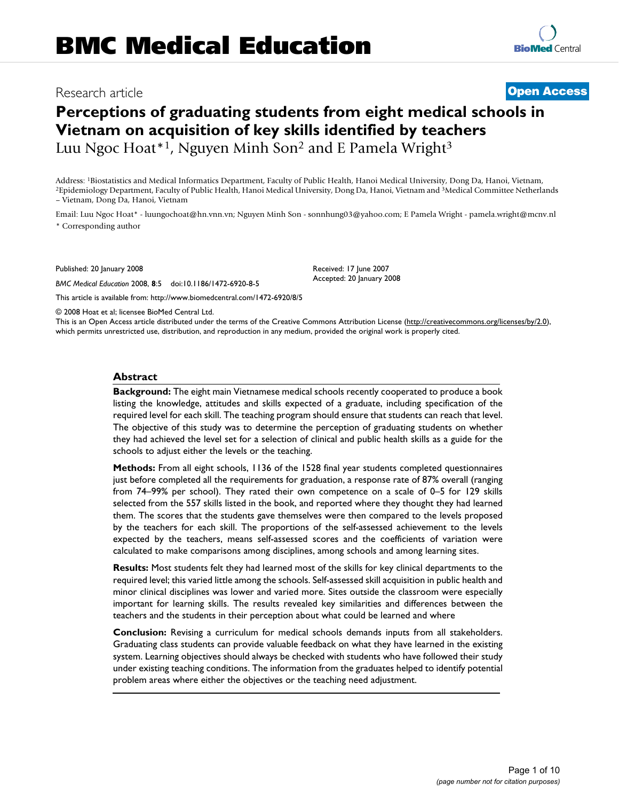## Research article **[Open Access](http://www.biomedcentral.com/info/about/charter/)**

# **Perceptions of graduating students from eight medical schools in Vietnam on acquisition of key skills identified by teachers** Luu Ngoc Hoat\*<sup>1</sup>, Nguyen Minh Son<sup>2</sup> and E Pamela Wright<sup>3</sup>

Address: <sup>1</sup>Biostatistics and Medical Informatics Department, Faculty of Public Health, Hanoi Medical University, Dong Da, Hanoi, Vietnam,<br><sup>2</sup>Epidemiology Department, Faculty of Public Health, Hanoi Medical University, Don – Vietnam, Dong Da, Hanoi, Vietnam

Email: Luu Ngoc Hoat\* - luungochoat@hn.vnn.vn; Nguyen Minh Son - sonnhung03@yahoo.com; E Pamela Wright - pamela.wright@mcnv.nl \* Corresponding author

> Received: 17 June 2007 Accepted: 20 January 2008

Published: 20 January 2008

*BMC Medical Education* 2008, **8**:5 doi:10.1186/1472-6920-8-5

[This article is available from: http://www.biomedcentral.com/1472-6920/8/5](http://www.biomedcentral.com/1472-6920/8/5)

© 2008 Hoat et al; licensee BioMed Central Ltd.

This is an Open Access article distributed under the terms of the Creative Commons Attribution License [\(http://creativecommons.org/licenses/by/2.0\)](http://creativecommons.org/licenses/by/2.0), which permits unrestricted use, distribution, and reproduction in any medium, provided the original work is properly cited.

#### **Abstract**

**Background:** The eight main Vietnamese medical schools recently cooperated to produce a book listing the knowledge, attitudes and skills expected of a graduate, including specification of the required level for each skill. The teaching program should ensure that students can reach that level. The objective of this study was to determine the perception of graduating students on whether they had achieved the level set for a selection of clinical and public health skills as a guide for the schools to adjust either the levels or the teaching.

**Methods:** From all eight schools, 1136 of the 1528 final year students completed questionnaires just before completed all the requirements for graduation, a response rate of 87% overall (ranging from 74–99% per school). They rated their own competence on a scale of 0–5 for 129 skills selected from the 557 skills listed in the book, and reported where they thought they had learned them. The scores that the students gave themselves were then compared to the levels proposed by the teachers for each skill. The proportions of the self-assessed achievement to the levels expected by the teachers, means self-assessed scores and the coefficients of variation were calculated to make comparisons among disciplines, among schools and among learning sites.

**Results:** Most students felt they had learned most of the skills for key clinical departments to the required level; this varied little among the schools. Self-assessed skill acquisition in public health and minor clinical disciplines was lower and varied more. Sites outside the classroom were especially important for learning skills. The results revealed key similarities and differences between the teachers and the students in their perception about what could be learned and where

**Conclusion:** Revising a curriculum for medical schools demands inputs from all stakeholders. Graduating class students can provide valuable feedback on what they have learned in the existing system. Learning objectives should always be checked with students who have followed their study under existing teaching conditions. The information from the graduates helped to identify potential problem areas where either the objectives or the teaching need adjustment.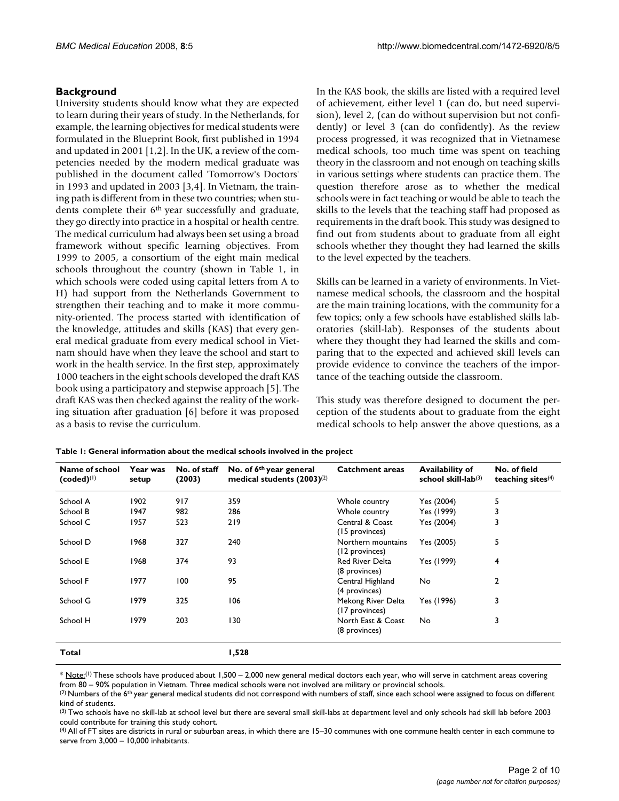## **Background**

University students should know what they are expected to learn during their years of study. In the Netherlands, for example, the learning objectives for medical students were formulated in the Blueprint Book, first published in 1994 and updated in 2001 [1,2]. In the UK, a review of the competencies needed by the modern medical graduate was published in the document called 'Tomorrow's Doctors' in 1993 and updated in 2003 [3,4]. In Vietnam, the training path is different from in these two countries; when students complete their 6th year successfully and graduate, they go directly into practice in a hospital or health centre. The medical curriculum had always been set using a broad framework without specific learning objectives. From 1999 to 2005, a consortium of the eight main medical schools throughout the country (shown in Table 1, in which schools were coded using capital letters from A to H) had support from the Netherlands Government to strengthen their teaching and to make it more community-oriented. The process started with identification of the knowledge, attitudes and skills (KAS) that every general medical graduate from every medical school in Vietnam should have when they leave the school and start to work in the health service. In the first step, approximately 1000 teachers in the eight schools developed the draft KAS book using a participatory and stepwise approach [5]. The draft KAS was then checked against the reality of the working situation after graduation [6] before it was proposed as a basis to revise the curriculum.

In the KAS book, the skills are listed with a required level of achievement, either level 1 (can do, but need supervision), level 2, (can do without supervision but not confidently) or level 3 (can do confidently). As the review process progressed, it was recognized that in Vietnamese medical schools, too much time was spent on teaching theory in the classroom and not enough on teaching skills in various settings where students can practice them. The question therefore arose as to whether the medical schools were in fact teaching or would be able to teach the skills to the levels that the teaching staff had proposed as requirements in the draft book. This study was designed to find out from students about to graduate from all eight schools whether they thought they had learned the skills to the level expected by the teachers.

Skills can be learned in a variety of environments. In Vietnamese medical schools, the classroom and the hospital are the main training locations, with the community for a few topics; only a few schools have established skills laboratories (skill-lab). Responses of the students about where they thought they had learned the skills and comparing that to the expected and achieved skill levels can provide evidence to convince the teachers of the importance of the teaching outside the classroom.

This study was therefore designed to document the perception of the students about to graduate from the eight medical schools to help answer the above questions, as a

| Name of school<br>$(coded)^{(1)}$ | Year was<br>setup | No. of staff<br>(2003) | No. of 6 <sup>th</sup> year general<br>medical students $(2003)^{(2)}$ | <b>Catchment areas</b>               | Availability of<br>school skill- $lab(3)$ | No. of field<br>teaching sites $(4)$ |
|-----------------------------------|-------------------|------------------------|------------------------------------------------------------------------|--------------------------------------|-------------------------------------------|--------------------------------------|
| School A                          | 1902              | 917                    | 359                                                                    | Whole country                        | Yes (2004)                                | 5                                    |
| School B                          | 1947              | 982                    | 286                                                                    | Whole country                        | Yes (1999)                                |                                      |
| School C                          | 1957              | 523                    | 219                                                                    | Central & Coast<br>(15 provinces)    | Yes (2004)                                | 3                                    |
| School D                          | 1968              | 327                    | 240                                                                    | Northern mountains<br>(12 provinces) | Yes (2005)                                | 5                                    |
| School E                          | 1968              | 374                    | 93                                                                     | Red River Delta<br>(8 provinces)     | Yes (1999)                                | 4                                    |
| School F                          | 1977              | 100                    | 95                                                                     | Central Highland<br>(4 provinces)    | No                                        | $\mathbf{2}$                         |
| School G                          | 1979              | 325                    | 106                                                                    | Mekong River Delta<br>(17 provinces) | Yes (1996)                                | 3                                    |
| School H                          | 1979              | 203                    | 130                                                                    | North East & Coast<br>(8 provinces)  | No                                        | 3                                    |
| Total                             |                   |                        | 1,528                                                                  |                                      |                                           |                                      |

**Table 1: General information about the medical schools involved in the project**

\* Note:<sup>(1)</sup> These schools have produced about 1,500 – 2,000 new general medical doctors each year, who will serve in catchment areas covering from 80 – 90% population in Vietnam. Three medical schools were not involved are military or provincial schools.

 $^{(2)}$  Numbers of the 6<sup>th</sup> year general medical students did not correspond with numbers of staff, since each school were assigned to focus on different kind of students.

(3) Two schools have no skill-lab at school level but there are several small skill-labs at department level and only schools had skill lab before 2003 could contribute for training this study cohort.

(4) All of FT sites are districts in rural or suburban areas, in which there are 15–30 communes with one commune health center in each commune to serve from 3,000 – 10,000 inhabitants.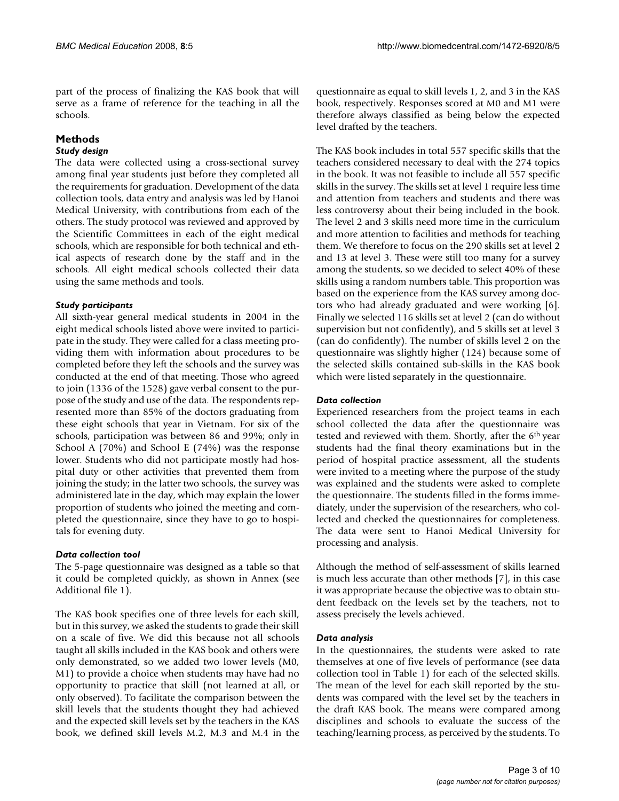part of the process of finalizing the KAS book that will serve as a frame of reference for the teaching in all the schools.

## **Methods**

## *Study design*

The data were collected using a cross-sectional survey among final year students just before they completed all the requirements for graduation. Development of the data collection tools, data entry and analysis was led by Hanoi Medical University, with contributions from each of the others. The study protocol was reviewed and approved by the Scientific Committees in each of the eight medical schools, which are responsible for both technical and ethical aspects of research done by the staff and in the schools. All eight medical schools collected their data using the same methods and tools.

## *Study participants*

All sixth-year general medical students in 2004 in the eight medical schools listed above were invited to participate in the study. They were called for a class meeting providing them with information about procedures to be completed before they left the schools and the survey was conducted at the end of that meeting. Those who agreed to join (1336 of the 1528) gave verbal consent to the purpose of the study and use of the data. The respondents represented more than 85% of the doctors graduating from these eight schools that year in Vietnam. For six of the schools, participation was between 86 and 99%; only in School A (70%) and School E (74%) was the response lower. Students who did not participate mostly had hospital duty or other activities that prevented them from joining the study; in the latter two schools, the survey was administered late in the day, which may explain the lower proportion of students who joined the meeting and completed the questionnaire, since they have to go to hospitals for evening duty.

## *Data collection tool*

The 5-page questionnaire was designed as a table so that it could be completed quickly, as shown in Annex (see Additional file 1).

The KAS book specifies one of three levels for each skill, but in this survey, we asked the students to grade their skill on a scale of five. We did this because not all schools taught all skills included in the KAS book and others were only demonstrated, so we added two lower levels (M0, M1) to provide a choice when students may have had no opportunity to practice that skill (not learned at all, or only observed). To facilitate the comparison between the skill levels that the students thought they had achieved and the expected skill levels set by the teachers in the KAS book, we defined skill levels M.2, M.3 and M.4 in the questionnaire as equal to skill levels 1, 2, and 3 in the KAS book, respectively. Responses scored at M0 and M1 were therefore always classified as being below the expected level drafted by the teachers.

The KAS book includes in total 557 specific skills that the teachers considered necessary to deal with the 274 topics in the book. It was not feasible to include all 557 specific skills in the survey. The skills set at level 1 require less time and attention from teachers and students and there was less controversy about their being included in the book. The level 2 and 3 skills need more time in the curriculum and more attention to facilities and methods for teaching them. We therefore to focus on the 290 skills set at level 2 and 13 at level 3. These were still too many for a survey among the students, so we decided to select 40% of these skills using a random numbers table. This proportion was based on the experience from the KAS survey among doctors who had already graduated and were working [6]. Finally we selected 116 skills set at level 2 (can do without supervision but not confidently), and 5 skills set at level 3 (can do confidently). The number of skills level 2 on the questionnaire was slightly higher (124) because some of the selected skills contained sub-skills in the KAS book which were listed separately in the questionnaire.

## *Data collection*

Experienced researchers from the project teams in each school collected the data after the questionnaire was tested and reviewed with them. Shortly, after the 6<sup>th</sup> year students had the final theory examinations but in the period of hospital practice assessment, all the students were invited to a meeting where the purpose of the study was explained and the students were asked to complete the questionnaire. The students filled in the forms immediately, under the supervision of the researchers, who collected and checked the questionnaires for completeness. The data were sent to Hanoi Medical University for processing and analysis.

Although the method of self-assessment of skills learned is much less accurate than other methods [7], in this case it was appropriate because the objective was to obtain student feedback on the levels set by the teachers, not to assess precisely the levels achieved.

#### *Data analysis*

In the questionnaires, the students were asked to rate themselves at one of five levels of performance (see data collection tool in Table 1) for each of the selected skills. The mean of the level for each skill reported by the students was compared with the level set by the teachers in the draft KAS book. The means were compared among disciplines and schools to evaluate the success of the teaching/learning process, as perceived by the students. To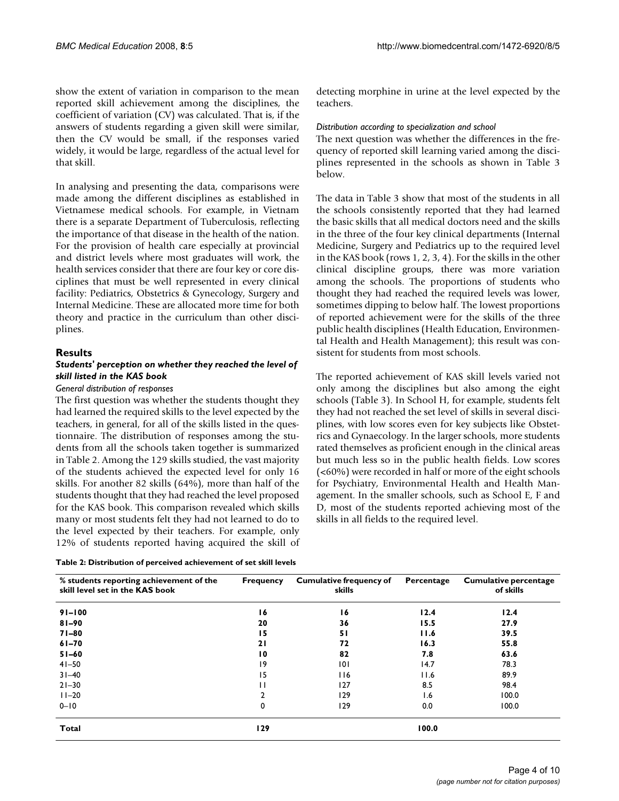show the extent of variation in comparison to the mean reported skill achievement among the disciplines, the coefficient of variation (CV) was calculated. That is, if the answers of students regarding a given skill were similar, then the CV would be small, if the responses varied widely, it would be large, regardless of the actual level for that skill.

In analysing and presenting the data, comparisons were made among the different disciplines as established in Vietnamese medical schools. For example, in Vietnam there is a separate Department of Tuberculosis, reflecting the importance of that disease in the health of the nation. For the provision of health care especially at provincial and district levels where most graduates will work, the health services consider that there are four key or core disciplines that must be well represented in every clinical facility: Pediatrics, Obstetrics & Gynecology, Surgery and Internal Medicine. These are allocated more time for both theory and practice in the curriculum than other disciplines.

## **Results**

## *Students' perception on whether they reached the level of skill listed in the KAS book*

## *General distribution of responses*

The first question was whether the students thought they had learned the required skills to the level expected by the teachers, in general, for all of the skills listed in the questionnaire. The distribution of responses among the students from all the schools taken together is summarized in Table 2. Among the 129 skills studied, the vast majority of the students achieved the expected level for only 16 skills. For another 82 skills (64%), more than half of the students thought that they had reached the level proposed for the KAS book. This comparison revealed which skills many or most students felt they had not learned to do to the level expected by their teachers. For example, only 12% of students reported having acquired the skill of detecting morphine in urine at the level expected by the teachers.

#### *Distribution according to specialization and school*

The next question was whether the differences in the frequency of reported skill learning varied among the disciplines represented in the schools as shown in Table 3 below.

The data in Table 3 show that most of the students in all the schools consistently reported that they had learned the basic skills that all medical doctors need and the skills in the three of the four key clinical departments (Internal Medicine, Surgery and Pediatrics up to the required level in the KAS book (rows 1, 2, 3, 4). For the skills in the other clinical discipline groups, there was more variation among the schools. The proportions of students who thought they had reached the required levels was lower, sometimes dipping to below half. The lowest proportions of reported achievement were for the skills of the three public health disciplines (Health Education, Environmental Health and Health Management); this result was consistent for students from most schools.

The reported achievement of KAS skill levels varied not only among the disciplines but also among the eight schools (Table 3). In School H, for example, students felt they had not reached the set level of skills in several disciplines, with low scores even for key subjects like Obstetrics and Gynaecology. In the larger schools, more students rated themselves as proficient enough in the clinical areas but much less so in the public health fields. Low scores (<60%) were recorded in half or more of the eight schools for Psychiatry, Environmental Health and Health Management. In the smaller schools, such as School E, F and D, most of the students reported achieving most of the skills in all fields to the required level.

| % students reporting achievement of the<br>skill level set in the KAS book | <b>Frequency</b> | <b>Cumulative frequency of</b><br>skills | Percentage | <b>Cumulative percentage</b><br>of skills |
|----------------------------------------------------------------------------|------------------|------------------------------------------|------------|-------------------------------------------|
| $91 - 100$                                                                 | 16               | 16                                       | 12.4       | 12.4                                      |
| $81 - 90$                                                                  | 20               | 36                                       | 15.5       | 27.9                                      |
| $71 - 80$                                                                  | 15               | 51                                       | 11.6       | 39.5                                      |
| $61 - 70$                                                                  | 21               | 72                                       | 16.3       | 55.8                                      |
| $51 - 60$                                                                  | $\overline{10}$  | 82                                       | 7.8        | 63.6                                      |
| $41 - 50$                                                                  | 19               | 0                                        | 14.7       | 78.3                                      |
| $31 - 40$                                                                  | 15               | 116                                      | 11.6       | 89.9                                      |
| $21 - 30$                                                                  | П                | 127                                      | 8.5        | 98.4                                      |
| $11 - 20$                                                                  | $\overline{2}$   | 129                                      | 1.6        | 100.0                                     |
| $0 - 10$                                                                   | 0                | 129                                      | 0.0        | 100.0                                     |
| <b>Total</b>                                                               | 129              |                                          | 100.0      |                                           |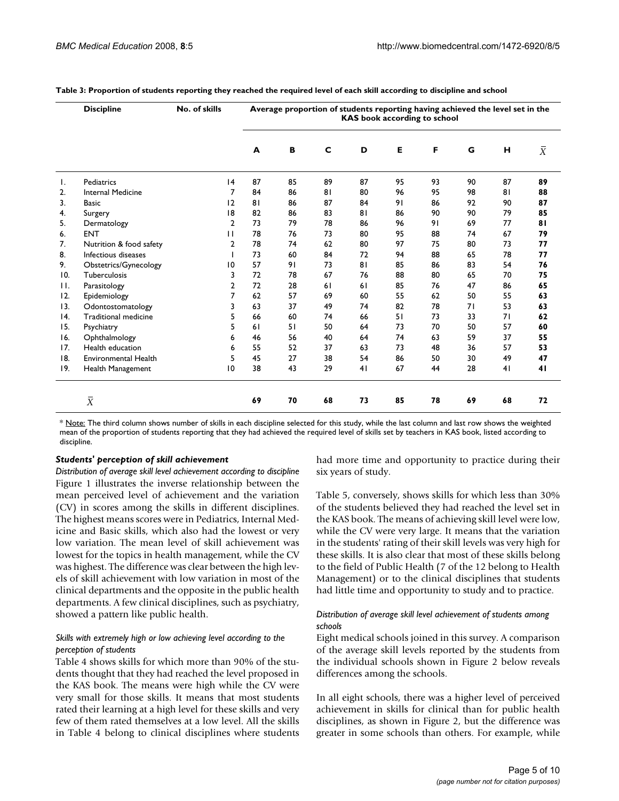|                   | <b>Discipline</b>           | No. of skills  |    | Average proportion of students reporting having achieved the level set in the<br>KAS book according to school |    |    |    |    |    |    |                |
|-------------------|-----------------------------|----------------|----|---------------------------------------------------------------------------------------------------------------|----|----|----|----|----|----|----------------|
|                   |                             |                | A  | в                                                                                                             | C  | D  | Е  | F  | G  | н  | $\overline{X}$ |
| Ι.                | Pediatrics                  | 4              | 87 | 85                                                                                                            | 89 | 87 | 95 | 93 | 90 | 87 | 89             |
| 2.                | <b>Internal Medicine</b>    | 7              | 84 | 86                                                                                                            | 81 | 80 | 96 | 95 | 98 | 81 | 88             |
| 3.                | Basic                       | 12             | 81 | 86                                                                                                            | 87 | 84 | 91 | 86 | 92 | 90 | 87             |
| 4.                | Surgery                     | 18             | 82 | 86                                                                                                            | 83 | 81 | 86 | 90 | 90 | 79 | 85             |
| 5.                | Dermatology                 | 2              | 73 | 79                                                                                                            | 78 | 86 | 96 | 91 | 69 | 77 | 81             |
| 6.                | <b>ENT</b>                  | П              | 78 | 76                                                                                                            | 73 | 80 | 95 | 88 | 74 | 67 | 79             |
| 7.                | Nutrition & food safety     | $\overline{2}$ | 78 | 74                                                                                                            | 62 | 80 | 97 | 75 | 80 | 73 | 77             |
| 8.                | Infectious diseases         |                | 73 | 60                                                                                                            | 84 | 72 | 94 | 88 | 65 | 78 | 77             |
| 9.                | Obstetrics/Gynecology       | 10             | 57 | 91                                                                                                            | 73 | 81 | 85 | 86 | 83 | 54 | 76             |
| 10.               | Tuberculosis                | 3              | 72 | 78                                                                                                            | 67 | 76 | 88 | 80 | 65 | 70 | 75             |
| 11.               | Parasitology                | $\overline{2}$ | 72 | 28                                                                                                            | 61 | 61 | 85 | 76 | 47 | 86 | 65             |
| 12.               | Epidemiology                | 7              | 62 | 57                                                                                                            | 69 | 60 | 55 | 62 | 50 | 55 | 63             |
| 13.               | Odontostomatology           | 3              | 63 | 37                                                                                                            | 49 | 74 | 82 | 78 | 71 | 53 | 63             |
| $\overline{14}$ . | <b>Traditional medicine</b> | 5              | 66 | 60                                                                                                            | 74 | 66 | 51 | 73 | 33 | 71 | 62             |
| 15.               | Psychiatry                  | 5              | 61 | 51                                                                                                            | 50 | 64 | 73 | 70 | 50 | 57 | 60             |
| 16.               | Ophthalmology               | 6              | 46 | 56                                                                                                            | 40 | 64 | 74 | 63 | 59 | 37 | 55             |
| 17.               | Health education            | 6              | 55 | 52                                                                                                            | 37 | 63 | 73 | 48 | 36 | 57 | 53             |
| 18.               | <b>Environmental Health</b> | 5              | 45 | 27                                                                                                            | 38 | 54 | 86 | 50 | 30 | 49 | 47             |
| 19.               | Health Management           | 10             | 38 | 43                                                                                                            | 29 | 41 | 67 | 44 | 28 | 41 | 41             |
|                   | $\overline{X}$              |                | 69 | 70                                                                                                            | 68 | 73 | 85 | 78 | 69 | 68 | 72             |

**Table 3: Proportion of students reporting they reached the required level of each skill according to discipline and school**

\* Note: The third column shows number of skills in each discipline selected for this study, while the last column and last row shows the weighted mean of the proportion of students reporting that they had achieved the required level of skills set by teachers in KAS book, listed according to discipline.

#### *Students' perception of skill achievement*

*Distribution of average skill level achievement according to discipline* Figure 1 illustrates the inverse relationship between the mean perceived level of achievement and the variation (CV) in scores among the skills in different disciplines. The highest means scores were in Pediatrics, Internal Medicine and Basic skills, which also had the lowest or very low variation. The mean level of skill achievement was lowest for the topics in health management, while the CV was highest. The difference was clear between the high levels of skill achievement with low variation in most of the clinical departments and the opposite in the public health departments. A few clinical disciplines, such as psychiatry, showed a pattern like public health.

#### *Skills with extremely high or low achieving level according to the perception of students*

Table 4 shows skills for which more than 90% of the students thought that they had reached the level proposed in the KAS book. The means were high while the CV were very small for those skills. It means that most students rated their learning at a high level for these skills and very few of them rated themselves at a low level. All the skills in Table 4 belong to clinical disciplines where students

had more time and opportunity to practice during their six years of study.

Table 5, conversely, shows skills for which less than 30% of the students believed they had reached the level set in the KAS book. The means of achieving skill level were low, while the CV were very large. It means that the variation in the students' rating of their skill levels was very high for these skills. It is also clear that most of these skills belong to the field of Public Health (7 of the 12 belong to Health Management) or to the clinical disciplines that students had little time and opportunity to study and to practice.

#### *Distribution of average skill level achievement of students among schools*

Eight medical schools joined in this survey. A comparison of the average skill levels reported by the students from the individual schools shown in Figure 2 below reveals differences among the schools.

In all eight schools, there was a higher level of perceived achievement in skills for clinical than for public health disciplines, as shown in Figure 2, but the difference was greater in some schools than others. For example, while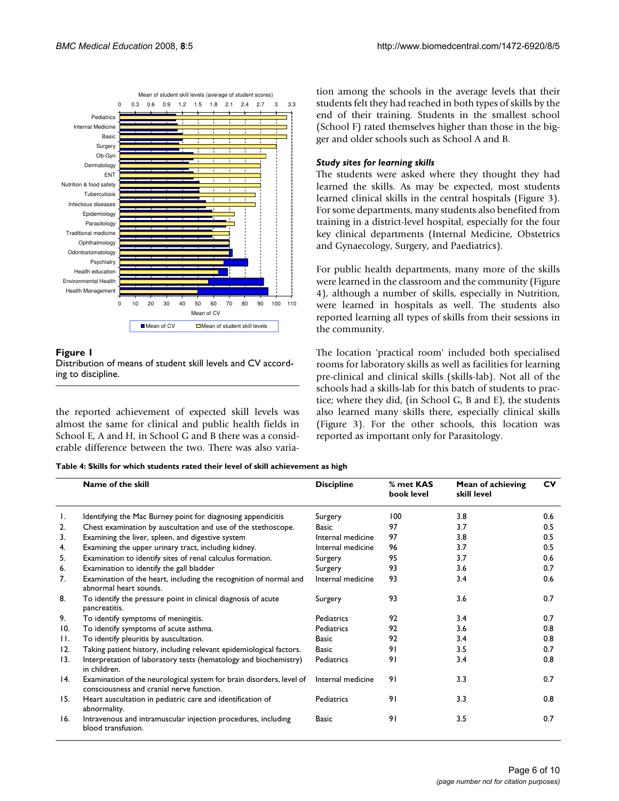

#### **Figure 1**

Distribution of means of student skill levels and CV according to discipline.

the reported achievement of expected skill levels was almost the same for clinical and public health fields in School E, A and H, in School G and B there was a considerable difference between the two. There was also variation among the schools in the average levels that their students felt they had reached in both types of skills by the end of their training. Students in the smallest school (School F) rated themselves higher than those in the bigger and older schools such as School A and B.

#### *Study sites for learning skills*

The students were asked where they thought they had learned the skills. As may be expected, most students learned clinical skills in the central hospitals (Figure 3). For some departments, many students also benefited from training in a district-level hospital, especially for the four key clinical departments (Internal Medicine, Obstetrics and Gynaecology, Surgery, and Paediatrics).

For public health departments, many more of the skills were learned in the classroom and the community (Figure 4), although a number of skills, especially in Nutrition, were learned in hospitals as well. The students also reported learning all types of skills from their sessions in the community.

The location 'practical room' included both specialised rooms for laboratory skills as well as facilities for learning pre-clinical and clinical skills (skills-lab). Not all of the schools had a skills-lab for this batch of students to practice; where they did, (in School G, B and E), the students also learned many skills there, especially clinical skills (Figure 3). For the other schools, this location was reported as important only for Parasitology.

**Table 4: Skills for which students rated their level of skill achievement as high**

|                   | Name of the skill                                                                                                 | <b>Discipline</b> | % met KAS<br>book level | Mean of achieving<br>skill level | <b>CV</b> |
|-------------------|-------------------------------------------------------------------------------------------------------------------|-------------------|-------------------------|----------------------------------|-----------|
| Ι.                | Identifying the Mac Burney point for diagnosing appendicitis                                                      | Surgery           | 100                     | 3.8                              | 0.6       |
| $\overline{2}$ .  | Chest examination by auscultation and use of the stethoscope.                                                     | <b>Basic</b>      | 97                      | 3.7                              | 0.5       |
| 3.                | Examining the liver, spleen, and digestive system                                                                 | Internal medicine | 97                      | 3.8                              | 0.5       |
| 4.                | Examining the upper urinary tract, including kidney.                                                              | Internal medicine | 96                      | 3.7                              | 0.5       |
| 5.                | Examination to identify sites of renal calculus formation.                                                        | Surgery           | 95                      | 3.7                              | 0.6       |
| 6.                | Examination to identify the gall bladder                                                                          | Surgery           | 93                      | 3.6                              | 0.7       |
| 7.                | Examination of the heart, including the recognition of normal and<br>abnormal heart sounds.                       | Internal medicine | 93                      | 3.4                              | 0.6       |
| 8.                | To identify the pressure point in clinical diagnosis of acute<br>pancreatitis.                                    | Surgery           | 93                      | 3.6                              | 0.7       |
| 9.                | To identify symptoms of meningitis.                                                                               | Pediatrics        | 92                      | 3.4                              | 0.7       |
| 10.               | To identify symptoms of acute asthma.                                                                             | Pediatrics        | 92                      | 3.6                              | 0.8       |
| $\mathbf{H}$ .    | To identify pleuritis by auscultation.                                                                            | <b>Basic</b>      | 92                      | 3.4                              | 0.8       |
| 12.               | Taking patient history, including relevant epidemiological factors.                                               | <b>Basic</b>      | 91                      | 3.5                              | 0.7       |
| 13.               | Interpretation of laboratory tests (hematology and biochemistry)<br>in children.                                  | Pediatrics        | 91                      | 3.4                              | 0.8       |
| $\overline{14}$ . | Examination of the neurological system for brain disorders, level of<br>consciousness and cranial nerve function. | Internal medicine | 91                      | 3.3                              | 0.7       |
| 15.               | Heart auscultation in pediatric care and identification of<br>abnormality.                                        | Pediatrics        | 91                      | 3.3                              | 0.8       |
| 16.               | Intravenous and intramuscular injection procedures, including<br>blood transfusion.                               | Basic             | 91                      | 3.5                              | 0.7       |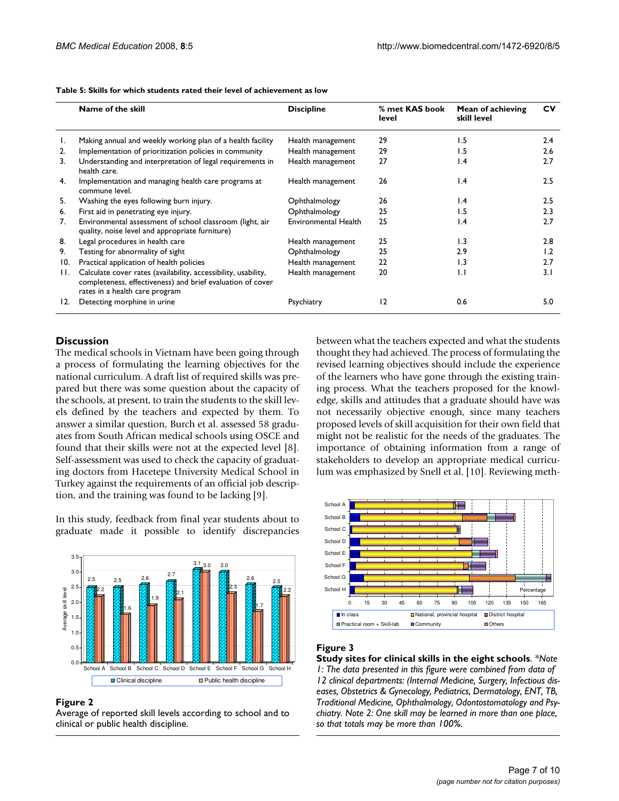|     | Name of the skill                                                                                                                                              | <b>Discipline</b>    | % met KAS book<br>level | Mean of achieving<br>skill level | <b>CV</b> |
|-----|----------------------------------------------------------------------------------------------------------------------------------------------------------------|----------------------|-------------------------|----------------------------------|-----------|
| Ι.  | Making annual and weekly working plan of a health facility                                                                                                     | Health management    | 29                      | l.5                              | 2.4       |
| 2.  | Implementation of prioritization policies in community                                                                                                         | Health management    | 29                      | ۱.5                              | 2.6       |
| 3.  | Understanding and interpretation of legal requirements in<br>health care.                                                                                      | Health management    | 27                      | $\mathsf{I}$ .4                  | 2.7       |
| 4.  | Implementation and managing health care programs at<br>commune level.                                                                                          | Health management    | 26                      | $\mathsf{I}$ .4                  | 2.5       |
| 5.  | Washing the eyes following burn injury.                                                                                                                        | Ophthalmology        | 26                      | $\mathsf{I}$ .4                  | 2.5       |
| 6.  | First aid in penetrating eye injury.                                                                                                                           | Ophthalmology        | 25                      | ۱.5                              | 2.3       |
| 7.  | Environmental assessment of school classroom (light, air<br>quality, noise level and appropriate furniture)                                                    | Environmental Health | 25                      | $\mathsf{I}$ .4                  | 2.7       |
| 8.  | Legal procedures in health care                                                                                                                                | Health management    | 25                      | 1.3                              | 2.8       |
| 9.  | Testing for abnormality of sight                                                                                                                               | Ophthalmology        | 25                      | 2.9                              | 1.2       |
| 10. | Practical application of health policies                                                                                                                       | Health management    | 22                      | 1.3                              | 2.7       |
| Н.  | Calculate cover rates (availability, accessibility, usability,<br>completeness, effectiveness) and brief evaluation of cover<br>rates in a health care program | Health management    | 20                      | IJ                               | 3.1       |
| 12. | Detecting morphine in urine                                                                                                                                    | Psychiatry           | 12                      | 0.6                              | 5.0       |

#### **Table 5: Skills for which students rated their level of achievement as low**

#### **Discussion**

The medical schools in Vietnam have been going through a process of formulating the learning objectives for the national curriculum. A draft list of required skills was prepared but there was some question about the capacity of the schools, at present, to train the students to the skill levels defined by the teachers and expected by them. To answer a similar question, Burch et al. assessed 58 graduates from South African medical schools using OSCE and found that their skills were not at the expected level [8]. Self-assessment was used to check the capacity of graduating doctors from Hacetepe University Medical School in Turkey against the requirements of an official job description, and the training was found to be lacking [9].

In this study, feedback from final year students about to graduate made it possible to identify discrepancies



#### Figure 2

Average of reported skill levels according to school and to clinical or public health discipline.

between what the teachers expected and what the students thought they had achieved. The process of formulating the revised learning objectives should include the experience of the learners who have gone through the existing training process. What the teachers proposed for the knowledge, skills and attitudes that a graduate should have was not necessarily objective enough, since many teachers proposed levels of skill acquisition for their own field that might not be realistic for the needs of the graduates. The importance of obtaining information from a range of stakeholders to develop an appropriate medical curriculum was emphasized by Snell et al. [10]. Reviewing meth-



#### **Figure 3**

**Study sites for clinical skills in the eight schools**. *\*Note 1: The data presented in this figure were combined from data of 12 clinical departments: (Internal Medicine, Surgery, Infectious diseases, Obstetrics & Gynecology, Pediatrics, Dermatology, ENT, TB, Traditional Medicine, Ophthalmology, Odontostomatology and Psychiatry. Note 2: One skill may be learned in more than one place, so that totals may be more than 100%*.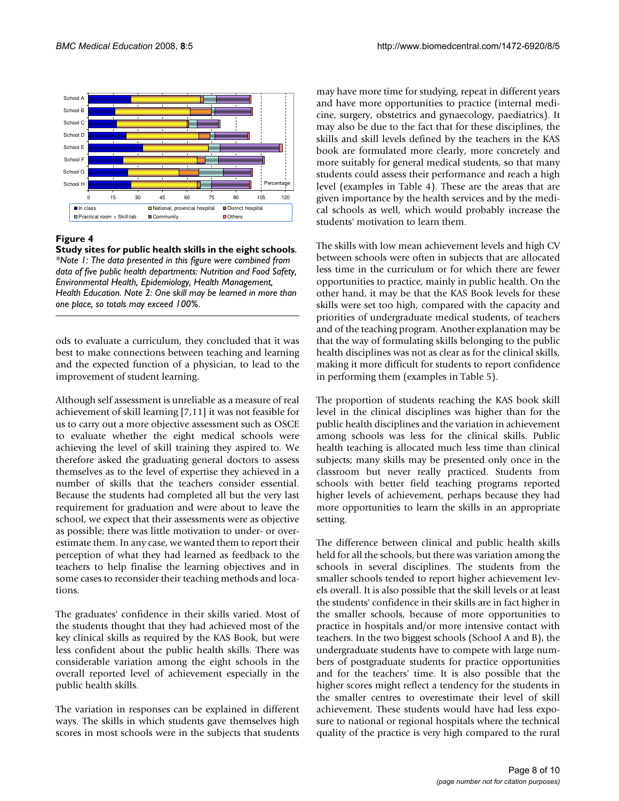

## **Figure 4**

**Study sites for public health skills in the eight schools**. *\*Note 1: The data presented in this figure were combined from data of five public health departments: Nutrition and Food Safety, Environmental Health, Epidemiology, Health Management, Health Education. Note 2: One skill may be learned in more than one place, so totals may exceed 100%*.

ods to evaluate a curriculum, they concluded that it was best to make connections between teaching and learning and the expected function of a physician, to lead to the improvement of student learning.

Although self assessment is unreliable as a measure of real achievement of skill learning [7,11] it was not feasible for us to carry out a more objective assessment such as OSCE to evaluate whether the eight medical schools were achieving the level of skill training they aspired to. We therefore asked the graduating general doctors to assess themselves as to the level of expertise they achieved in a number of skills that the teachers consider essential. Because the students had completed all but the very last requirement for graduation and were about to leave the school, we expect that their assessments were as objective as possible; there was little motivation to under- or overestimate them. In any case, we wanted them to report their perception of what they had learned as feedback to the teachers to help finalise the learning objectives and in some cases to reconsider their teaching methods and locations.

The graduates' confidence in their skills varied. Most of the students thought that they had achieved most of the key clinical skills as required by the KAS Book, but were less confident about the public health skills. There was considerable variation among the eight schools in the overall reported level of achievement especially in the public health skills.

The variation in responses can be explained in different ways. The skills in which students gave themselves high scores in most schools were in the subjects that students

may have more time for studying, repeat in different years and have more opportunities to practice (internal medicine, surgery, obstetrics and gynaecology, paediatrics). It may also be due to the fact that for these disciplines, the skills and skill levels defined by the teachers in the KAS book are formulated more clearly, more concretely and more suitably for general medical students, so that many students could assess their performance and reach a high level (examples in Table 4). These are the areas that are given importance by the health services and by the medical schools as well, which would probably increase the students' motivation to learn them.

The skills with low mean achievement levels and high CV between schools were often in subjects that are allocated less time in the curriculum or for which there are fewer opportunities to practice, mainly in public health. On the other hand, it may be that the KAS Book levels for these skills were set too high, compared with the capacity and priorities of undergraduate medical students, of teachers and of the teaching program. Another explanation may be that the way of formulating skills belonging to the public health disciplines was not as clear as for the clinical skills, making it more difficult for students to report confidence in performing them (examples in Table 5).

The proportion of students reaching the KAS book skill level in the clinical disciplines was higher than for the public health disciplines and the variation in achievement among schools was less for the clinical skills. Public health teaching is allocated much less time than clinical subjects; many skills may be presented only once in the classroom but never really practiced. Students from schools with better field teaching programs reported higher levels of achievement, perhaps because they had more opportunities to learn the skills in an appropriate setting.

The difference between clinical and public health skills held for all the schools, but there was variation among the schools in several disciplines. The students from the smaller schools tended to report higher achievement levels overall. It is also possible that the skill levels or at least the students' confidence in their skills are in fact higher in the smaller schools, because of more opportunities to practice in hospitals and/or more intensive contact with teachers. In the two biggest schools (School A and B), the undergraduate students have to compete with large numbers of postgraduate students for practice opportunities and for the teachers' time. It is also possible that the higher scores might reflect a tendency for the students in the smaller centres to overestimate their level of skill achievement. These students would have had less exposure to national or regional hospitals where the technical quality of the practice is very high compared to the rural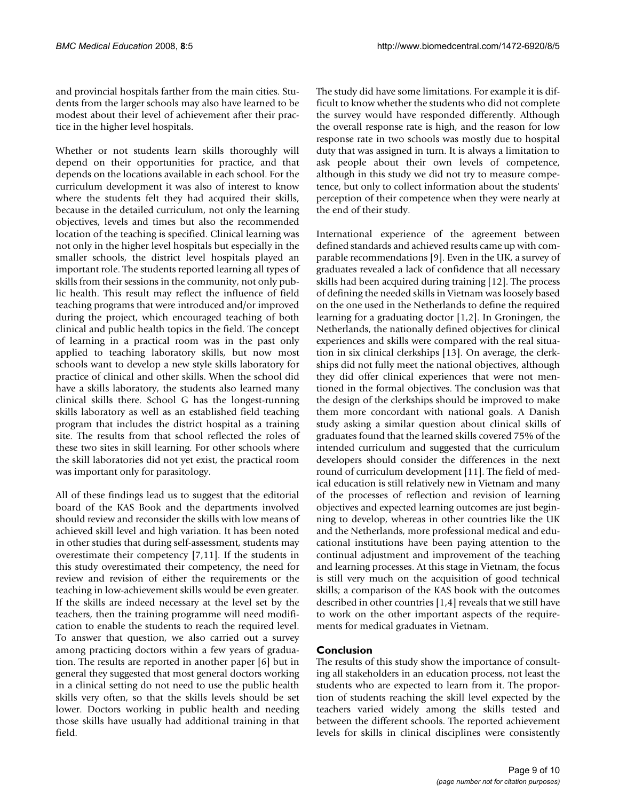and provincial hospitals farther from the main cities. Students from the larger schools may also have learned to be modest about their level of achievement after their practice in the higher level hospitals.

Whether or not students learn skills thoroughly will depend on their opportunities for practice, and that depends on the locations available in each school. For the curriculum development it was also of interest to know where the students felt they had acquired their skills, because in the detailed curriculum, not only the learning objectives, levels and times but also the recommended location of the teaching is specified. Clinical learning was not only in the higher level hospitals but especially in the smaller schools, the district level hospitals played an important role. The students reported learning all types of skills from their sessions in the community, not only public health. This result may reflect the influence of field teaching programs that were introduced and/or improved during the project, which encouraged teaching of both clinical and public health topics in the field. The concept of learning in a practical room was in the past only applied to teaching laboratory skills, but now most schools want to develop a new style skills laboratory for practice of clinical and other skills. When the school did have a skills laboratory, the students also learned many clinical skills there. School G has the longest-running skills laboratory as well as an established field teaching program that includes the district hospital as a training site. The results from that school reflected the roles of these two sites in skill learning. For other schools where the skill laboratories did not yet exist, the practical room was important only for parasitology.

All of these findings lead us to suggest that the editorial board of the KAS Book and the departments involved should review and reconsider the skills with low means of achieved skill level and high variation. It has been noted in other studies that during self-assessment, students may overestimate their competency [7,11]. If the students in this study overestimated their competency, the need for review and revision of either the requirements or the teaching in low-achievement skills would be even greater. If the skills are indeed necessary at the level set by the teachers, then the training programme will need modification to enable the students to reach the required level. To answer that question, we also carried out a survey among practicing doctors within a few years of graduation. The results are reported in another paper [6] but in general they suggested that most general doctors working in a clinical setting do not need to use the public health skills very often, so that the skills levels should be set lower. Doctors working in public health and needing those skills have usually had additional training in that field.

The study did have some limitations. For example it is difficult to know whether the students who did not complete the survey would have responded differently. Although the overall response rate is high, and the reason for low response rate in two schools was mostly due to hospital duty that was assigned in turn. It is always a limitation to ask people about their own levels of competence, although in this study we did not try to measure competence, but only to collect information about the students' perception of their competence when they were nearly at the end of their study.

International experience of the agreement between defined standards and achieved results came up with comparable recommendations [9]. Even in the UK, a survey of graduates revealed a lack of confidence that all necessary skills had been acquired during training [12]. The process of defining the needed skills in Vietnam was loosely based on the one used in the Netherlands to define the required learning for a graduating doctor [1,2]. In Groningen, the Netherlands, the nationally defined objectives for clinical experiences and skills were compared with the real situation in six clinical clerkships [13]. On average, the clerkships did not fully meet the national objectives, although they did offer clinical experiences that were not mentioned in the formal objectives. The conclusion was that the design of the clerkships should be improved to make them more concordant with national goals. A Danish study asking a similar question about clinical skills of graduates found that the learned skills covered 75% of the intended curriculum and suggested that the curriculum developers should consider the differences in the next round of curriculum development [11]. The field of medical education is still relatively new in Vietnam and many of the processes of reflection and revision of learning objectives and expected learning outcomes are just beginning to develop, whereas in other countries like the UK and the Netherlands, more professional medical and educational institutions have been paying attention to the continual adjustment and improvement of the teaching and learning processes. At this stage in Vietnam, the focus is still very much on the acquisition of good technical skills; a comparison of the KAS book with the outcomes described in other countries [1,4] reveals that we still have to work on the other important aspects of the requirements for medical graduates in Vietnam.

## **Conclusion**

The results of this study show the importance of consulting all stakeholders in an education process, not least the students who are expected to learn from it. The proportion of students reaching the skill level expected by the teachers varied widely among the skills tested and between the different schools. The reported achievement levels for skills in clinical disciplines were consistently